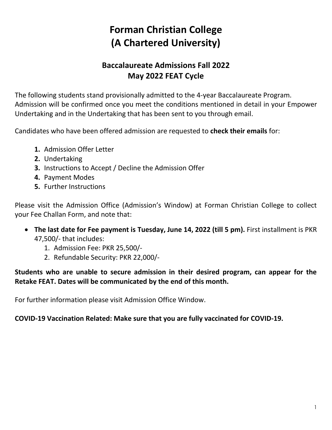# **Forman Christian College (A Chartered University)**

# **Baccalaureate Admissions Fall 2022 May 2022 FEAT Cycle**

The following students stand provisionally admitted to the 4-year Baccalaureate Program. Admission will be confirmed once you meet the conditions mentioned in detail in your Empower Undertaking and in the Undertaking that has been sent to you through email.

Candidates who have been offered admission are requested to **check their emails** for:

- **1.** Admission Offer Letter
- **2.** Undertaking
- **3.** Instructions to Accept / Decline the Admission Offer
- **4.** Payment Modes
- **5.** Further Instructions

Please visit the Admission Office (Admission's Window) at Forman Christian College to collect your Fee Challan Form, and note that:

- **The last date for Fee payment is Tuesday, June 14, 2022 (till 5 pm).** First installment is PKR 47,500/- that includes:
	- 1. Admission Fee: PKR 25,500/-
	- 2. Refundable Security: PKR 22,000/-

**Students who are unable to secure admission in their desired program, can appear for the Retake FEAT. Dates will be communicated by the end of this month.**

For further information please visit Admission Office Window.

#### **COVID-19 Vaccination Related: Make sure that you are fully vaccinated for COVID-19.**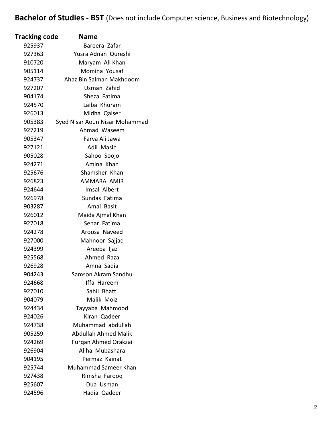# **Bachelor of Studies - BST** (Does not include Computer science, Business and Biotechnology)

| Tracking code | <b>Name</b>                    |
|---------------|--------------------------------|
| 925937        | Bareera Zafar                  |
| 927363        | Yusra Adnan Qureshi            |
| 910720        | Maryam Ali Khan                |
| 905114        | Momina Yousaf                  |
| 924737        | Ahaz Bin Salman Makhdoom       |
| 927207        | Usman Zahid                    |
| 904174        | Sheza Fatima                   |
| 924570        | Laiba Khuram                   |
| 926013        | Midha Qaiser                   |
| 905383        | Syed Nisar Aoun Nisar Mohammad |
| 927219        | Ahmad Waseem                   |
| 905347        | Farva Ali Jawa                 |
| 927121        | Adil Masih                     |
| 905028        | Sahoo Soojo                    |
| 924271        | Amina Khan                     |
| 925676        | Shamsher Khan                  |
| 926823        | AMMARA AMIR                    |
| 924644        | Imsal Albert                   |
| 926978        | Sundas Fatima                  |
| 903287        | Amal Basit                     |
| 926012        | Maida Ajmal Khan               |
| 927018        | Sehar Fatima                   |
| 924278        | Aroosa Naveed                  |
| 927000        | Mahnoor Sajjad                 |
| 924399        | Areeba Ijaz                    |
| 925568        | Ahmed Raza                     |
| 926928        | Amna Sadia                     |
| 904243        | Samson Akram Sandhu            |
| 924668        | Iffa Hareem                    |
| 927010        | Sahil Bhatti                   |
| 904079        | Malik Moiz                     |
| 924434        | Tayyaba Mahmood                |
| 924026        | Kiran Qadeer                   |
| 924738        | Muhammad abdullah              |
| 905259        | <b>Abdullah Ahmed Malik</b>    |
| 924269        | Furqan Ahmed Orakzai           |
| 926904        | Aliha Mubashara                |
| 904195        | Permaz Kainat                  |
| 925744        | Muhammad Sameer Khan           |
| 927438        | Rimsha Farooq                  |
| 925607        | Dua Usman                      |
| 924596        | Hadia Qadeer                   |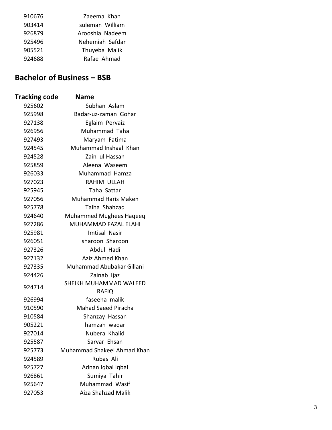| 910676 | Zaeema Khan     |
|--------|-----------------|
| 903414 | suleman William |
| 926879 | Arooshia Nadeem |
| 925496 | Nehemiah Safdar |
| 905521 | Thuyeba Malik   |
| 924688 | Rafae Ahmad     |

#### **Bachelor of Business – BSB**

| <b>Tracking code</b> | <b>Name</b>                            |
|----------------------|----------------------------------------|
| 925602               | Subhan Aslam                           |
| 925998               | Badar-uz-zaman Gohar                   |
| 927138               | Eglaim Pervaiz                         |
| 926956               | Muhammad Taha                          |
| 927493               | Maryam Fatima                          |
| 924545               | Muhammad Inshaal Khan                  |
| 924528               | Zain ul Hassan                         |
| 925859               | Aleena Waseem                          |
| 926033               | Muhammad Hamza                         |
| 927023               | RAHIM ULLAH                            |
| 925945               | Taha Sattar                            |
| 927056               | <b>Muhammad Haris Maken</b>            |
| 925778               | Talha Shahzad                          |
| 924640               | <b>Muhammed Mughees Haqeeq</b>         |
| 927286               | <b>MUHAMMAD FAZAL ELAHI</b>            |
| 925981               | <b>Imtisal Nasir</b>                   |
| 926051               | sharoon Sharoon                        |
| 927326               | Abdul Hadi                             |
| 927132               | Aziz Ahmed Khan                        |
| 927335               | Muhammad Abubakar Gillani              |
| 924426               | Zainab Ijaz                            |
| 924714               | SHEIKH MUHAMMAD WALEED<br><b>RAFIQ</b> |
| 926994               | faseeha malik                          |
| 910590               | <b>Mahad Saeed Piracha</b>             |
| 910584               | Shanzay Hassan                         |
| 905221               | hamzah waqar                           |
| 927014               | Nubera Khalid                          |
| 925587               | Sarvar Ehsan                           |
| 925773               | Muhammad Shakeel Ahmad Khan            |
| 924589               | Rubas Ali                              |
| 925727               | Adnan Iqbal Iqbal                      |
| 926861               | Sumiya Tahir                           |
| 925647               | Muhammad Wasif                         |
| 927053               | Aiza Shahzad Malik                     |
|                      |                                        |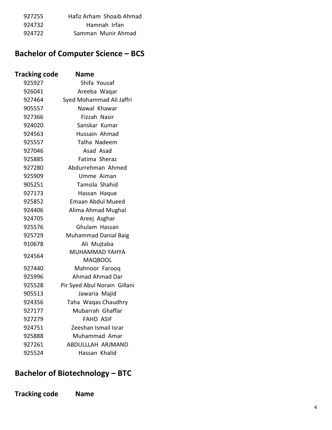| 927255 | Hafiz Arham Shoaib Ahmad |
|--------|--------------------------|
| 924732 | Hamnah Irfan             |
| 924722 | Samman Munir Ahmad       |

### **Bachelor of Computer Science – BCS**

| <b>Tracking code</b> | <b>Name</b>                      |
|----------------------|----------------------------------|
| 925927               | Shifa Yousaf                     |
| 926041               | Areeba Waqar                     |
| 927464               | Syed Mohammad Ali Jaffri         |
| 905557               | Nawal Khawar                     |
| 927366               | Fizzah Nasir                     |
| 924020               | Sanskar Kumar                    |
| 924563               | Hussain Ahmad                    |
| 925557               | Talha Nadeem                     |
| 927046               | Asad Asad                        |
| 925885               | Fatima Sheraz                    |
| 927280               | Abdurrehman Ahmed                |
| 925909               | Umme Aiman                       |
| 905251               | Tamsila Shahid                   |
| 927173               | Hassan Haque                     |
| 925852               | <b>Emaan Abdul Mueed</b>         |
| 924406               | Alima Ahmad Mughal               |
| 924705               | Areej Asghar                     |
| 925576               | Ghulam Hassan                    |
| 925729               | <b>Muhammad Danial Baig</b>      |
| 910678               | Ali Mujtaba                      |
| 924564               | MUHAMMAD YAHYA<br><b>MAQBOOL</b> |
| 927440               | Mahnoor Farooq                   |
| 925996               | Ahmad Ahmad Dar                  |
| 925528               | Pir Syed Abul Norain Gillani     |
| 905513               | Jawaria Majid                    |
| 924356               | Taha Waqas Chaudhry              |
| 927177               | Mubarrah Ghaffar                 |
| 927279               | <b>FAHD ASIF</b>                 |
| 924751               | Zeeshan Ismail Israr             |
| 925888               | Muhammad Amar                    |
| 927261               | ABDULLLAH ARJMAND                |
| 925524               | Hassan Khalid                    |

## **Bachelor of Biotechnology – BTC**

**Tracking code Name**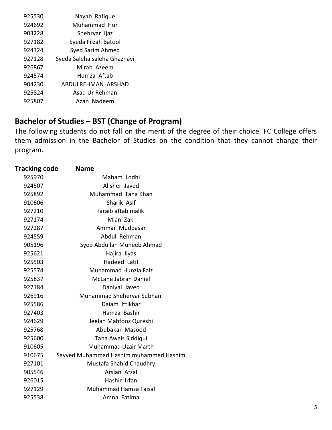| 925530 | Nayab Rafique                |
|--------|------------------------------|
| 924692 | Muhammad Hur                 |
| 903228 | Shehryar Ijaz                |
| 927182 | Syeda Filzah Batool          |
| 924324 | Syed Sarim Ahmed             |
| 927128 | Syeda Saleha saleha Ghaznavi |
| 926867 | Mirab Azeem                  |
| 924574 | Humza Aftab                  |
| 904230 | ABDULREHMAN ARSHAD           |
| 925824 | Asad Ur Rehman               |
| 925807 | Azan Nadeem                  |
|        |                              |

# **Bachelor of Studies – BST (Change of Program)**

The following students do not fall on the merit of the degree of their choice. FC College offers them admission in the Bachelor of Studies on the condition that they cannot change their program.

| <b>Tracking code</b> | <b>Name</b>                            |
|----------------------|----------------------------------------|
| 925970               | Maham Lodhi                            |
| 924507               | Alisher Javed                          |
| 925892               | Muhammad Taha Khan                     |
| 910606               | Sharik Asif                            |
| 927210               | laraib aftab malik                     |
| 927174               | Mian Zaki                              |
| 927287               | Ammar Muddasar                         |
| 924559               | Abdul Rehman                           |
| 905196               | Syed Abdullah Muneeb Ahmad             |
| 925621               | Hajira Ilyas                           |
| 925503               | <b>Hadeed Latif</b>                    |
| 925574               | Muhammad Hunzla Faiz                   |
| 925837               | <b>McLane Jabran Daniel</b>            |
| 927184               | Daniyal Javed                          |
| 926916               | Muhammad Sheheryar Subhani             |
| 925586               | Daiam Iftikhar                         |
| 927403               | Hamza Bashir                           |
| 924629               | Jeelan Mahfooz Qureshi                 |
| 925768               | Abubakar Masood                        |
| 925600               | Taha Awais Siddiqui                    |
| 910605               | <b>Muhammad Uzair Marth</b>            |
| 910675               | Sayyed Muhammad Hashim muhammed Hashim |
| 927101               | Mustafa Shahid Chaudhry                |
| 905546               | Arslan Afzal                           |
| 926015               | Hashir Irfan                           |
| 927129               | <b>Muhammad Hamza Faisal</b>           |
| 925538               | Amna Fatima                            |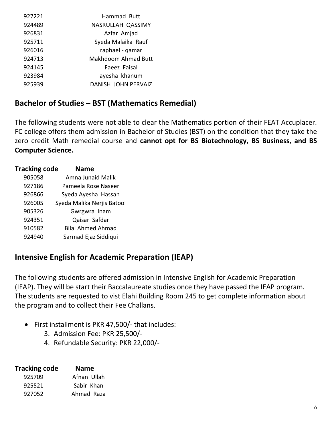| 927221 | Hammad Butt                |
|--------|----------------------------|
| 924489 | NASRULLAH QASSIMY          |
| 926831 | Azfar Amjad                |
| 925711 | Syeda Malaika Rauf         |
| 926016 | raphael - qamar            |
| 924713 | <b>Makhdoom Ahmad Butt</b> |
| 924145 | Faeez Faisal               |
| 923984 | ayesha khanum              |
| 925939 | DANISH JOHN PERVAIZ        |

### **Bachelor of Studies – BST (Mathematics Remedial)**

The following students were not able to clear the Mathematics portion of their FEAT Accuplacer. FC college offers them admission in Bachelor of Studies (BST) on the condition that they take the zero credit Math remedial course and **cannot opt for BS Biotechnology, BS Business, and BS Computer Science.** 

| <b>Tracking code</b> | Name                       |
|----------------------|----------------------------|
| 905058               | Amna Junaid Malik          |
| 927186               | Pameela Rose Naseer        |
| 926866               | Syeda Ayesha Hassan        |
| 926005               | Syeda Malika Nerjis Batool |
| 905326               | Gwrgwra Inam               |
| 924351               | Qaisar Safdar              |
| 910582               | <b>Bilal Ahmed Ahmad</b>   |
| 924940               | Sarmad Ejaz Siddiqui       |
|                      |                            |

## **Intensive English for Academic Preparation (IEAP)**

The following students are offered admission in Intensive English for Academic Preparation (IEAP). They will be start their Baccalaureate studies once they have passed the IEAP program. The students are requested to vist Elahi Building Room 245 to get complete information about the program and to collect their Fee Challans.

- First installment is PKR 47,500/- that includes:
	- 3. Admission Fee: PKR 25,500/-
	- 4. Refundable Security: PKR 22,000/-

| <b>Tracking code</b> | <b>Name</b> |
|----------------------|-------------|
| 925709               | Afnan Ullah |
| 925521               | Sabir Khan  |
| 927052               | Ahmad Raza  |